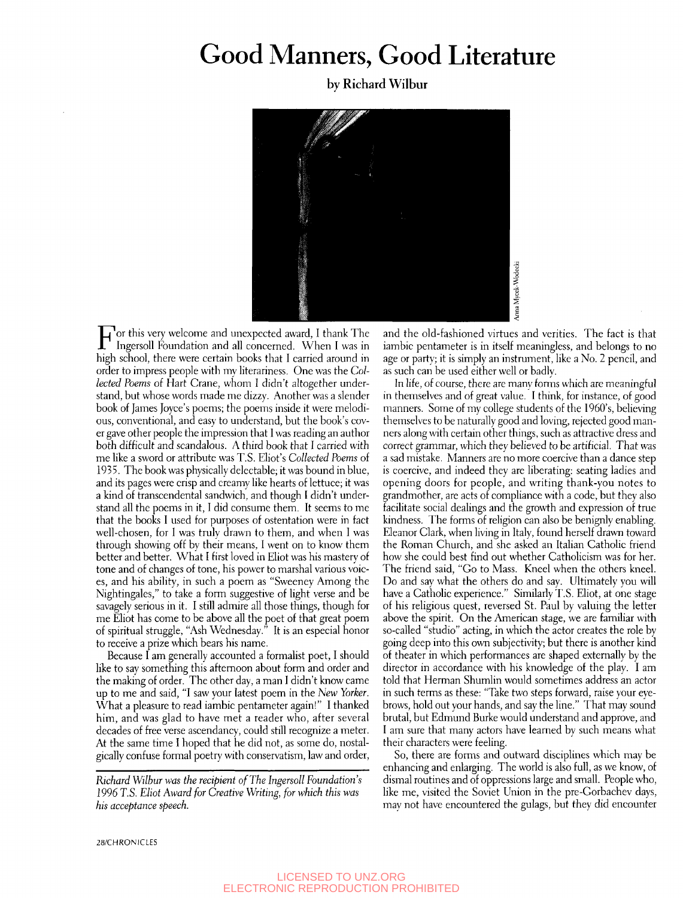## Good Manners, Good Literature

by Richard Wilbur



For this very welcome and unexpected award, I thank The Ingersoll Foundation and all concerned. When I was in Ingersoll Foundation and all concerned. When I was in high school, there were certain books that I carried around in order to impress people with my literariness. One was the *Collected Poems oi* Hart Crane, whom I didn't altogether understand, but whose words made me dizzy. Another was a slender book of James Joyce's poems; the poems inside it were melodious, conventional, and easy to understand, but the book's cover gave other people the impression that I was reading an author both difficult and scandalous. A third book that I carried with me like a sword or attribute was T.S. Eliot's *Collected Poems* of 1935. The book was physically delectable; it was bound in blue, and its pages were crisp and creamy like hearts of lettuce; it was a kind of transcendental sandwich, and though I didn't understand all the poems in it, I did consume them. It seems to me that the books I used for purposes of ostentation were in fact well-chosen, for I was truly drawn to them, and when I was through showing off by their means, I went on to know them better and better. What I first loved in Eliot was his mastery of tone and of changes of tone, his power to marshal various voices, and his ability, in such a poem as "Sweeney Among the Nightingales," to take a form suggestive of light verse and be savagely serious in it. I still admire all those things, though for me Eliot has come to be above all the poet of that great poem of spiritual struggle, "Ash Wednesday." It is an especial honor to receive a prize which bears his name.

Because I am generally accounted a formalist poet, I should like to say something this afternoon about form and order and the making of order. The other day, a man I didn't know came up to me and said, "I saw your latest poem in the *New Yorker.*  What a pleasure to read iambic pentameter again!" I thanked him, and was glad to have met a reader who, after several decades of free verse ascendancy, could still recognize a meter. At the same time I hoped that he did not, as some do, nostalgically confuse formal poetry with conservatism, law and order,

*Richard Wilbur was the recipient of The Ingersoll Foundation's 1*996 *T.S. Eliot Award for Creative Writing, for which this was his acceptance speech.* 

and the old-fashioned virtues and verities. The fact is that iambic pentameter is in itself meaningless, and belongs to no age or party; it is simply an instrument, like a No. 2 pencil, and as such can be used either well or badly.

In life, of course, there are many forms which are meaningful in themselves and of great value. I think, for instance, of good manners. Some of my college students of the I960's, believing themselves to be naturally good and loving, rejected good manners along with certain other things, such as attractive dress and correct grammar, which they believed to be artificial. That was a sad mistake. Manners are no more coercive than a dance step is coercive, and indeed they are liberating: seating ladies and opening doors for people, and writing thank-you notes to grandmother, are acts of compliance with a code, but they also facilitate social dealings and the growth and expression of true kindness. The forms of religion can also be benignly enabling. Eleanor Clark, when living in Italy, found herself drawn toward the Roman Church, and she asked an Italian Catholic friend how she could best find out whether Catholicism was for her. The friend said, "Go to Mass. Kneel when the others kneel. Do and say what the others do and say. Ultimately you will have a Catholic experience." Similarly T.S. Eliot, at one stage of his religious quest, reversed St. Paul by valuing the letter above the spirit. On the American stage, we are familiar with so-called "studio" acting, in which the actor creates the role by going deep into this own subjectivity; but there is another kind of theater in which performances are shaped externally by the director in accordance with his knowledge of the play. I am told that Herman Shumlin would sometimes address an actor in such terms as these: "Take two steps forward, raise your eyebrows, hold out your hands, and say the line." That may sound brutal, but Edmund Burke would understand and approve, and I am sure that many actors have learned by such means what their characters were feeling.

So, there are forms and outward disciplines which may be enhancing and enlarging. The world is also full, as we know, of dismal routines and of oppressions large and small. People who, like me, visited the Soviet Union in the pre-Corbachev days, may not have encountered the gulags, but they did encounter

28/CHRONICLES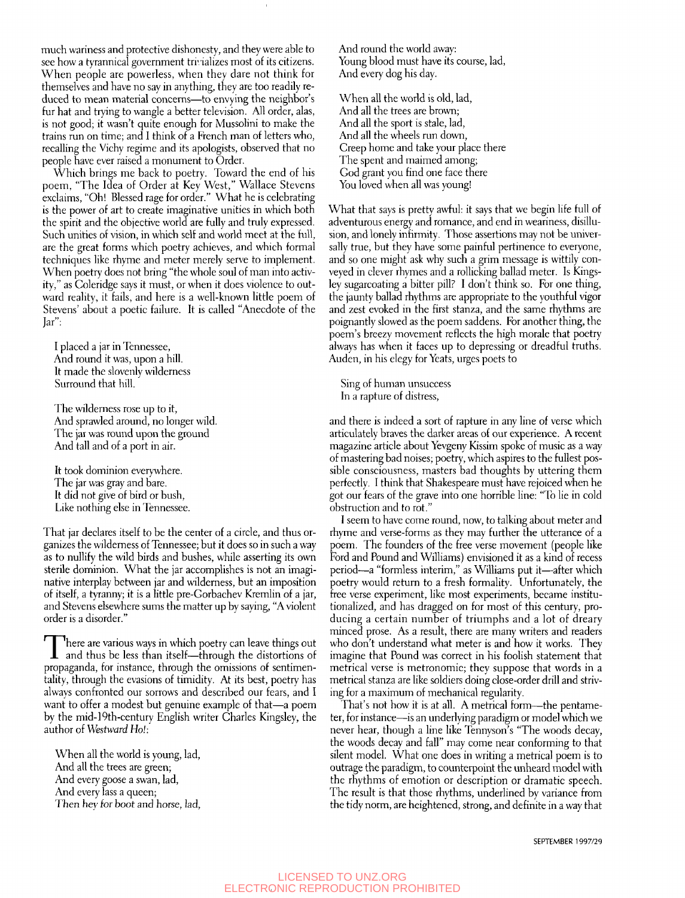much wariness and protective dishonesty, and they were able to see how a tyrannical government trivializes most of its citizens. When people are powerless, when they dare not think for themselves and have no say in anything, they are too readily reduced to mean material concerns—to envying the neighbor's fur hat and trying to wangle a better television. All order, alas, is not good; it wasn't quite enough for Mussolini to make the trains run on time; and I think of a French man of letters who, recalling the Vichy regime and its apologists, observed that no people have ever raised a monument to Order.

Which brings me back to poetry. Toward the end of his poem, "The Idea of Order at Key West," Wallace Stevens exclaims, "Oh! Blessed rage for order." What he is celebrating is the power of art to create imaginative unities in which both the spirit and the objective wodd are fully and truly expressed. Such unities of vision, in which self and world meet at the full, are the great forms which poetry achieves, and which formal techniques like rhyme and meter merely serve to implement. When poetry does not bring "the whole soul of man into activity," as Coleridge says it must, or when it does violence to outward reality, it fails, and here is a well-known little poem of Stevens' about a poetic failure. It is called "Anecdote of the Jar":

I placed a jar in Tennessee, And round it was, upon a hill. It made the slovenly wilderness Surround that hill.

The wilderness rose up to it, And sprawled around, no longer wild. The jar was round upon the ground And tall and of a port in air.

It took dominion everywhere. The jar was gray and bare. It did not give of bird or bush. Like nothing else in Tennessee.

That jar declares itself to be the center of a circle, and thus organizes the wilderness of Tennessee; but it does so in such a way as to nullify the wild birds and bushes, while asserting its own sterile dominion. What the jar accomplishes is not an imaginative interplay between jar and wilderness, but an imposition of itself, a tyranny; it is a little pre-Gorbachev Kremlin of a jar, and Stevens elsewhere sums the matter up by saying, "A violent order is a disorder."

There are various ways in which poetry can leave things out<br>and thus be less than itself—through the distortions of<br>propagande for instance, through the emissions of sontimen here are various ways in which poetry can leave things out propaganda, for instance, through the omissions of sentimentality, through the evasions of timidity. At its best, poetry has always confronted our sorrows and described our fears, and I want to offer a modest but genuine example of that—a poem by the mid-19th-century English writer Charles Kingsley, the author of *Westward Ho!:* 

When all the world is young, lad, And all the trees are green; And every goose a swan, lad. And every lass a queen; Then hev for boot and horse, lad. And round the world away: Young blood must have its course, lad, And every dog his day.

When all the world is old, lad. And all the trees are brown; And all the sport is stale, lad. And all the wheels run down. Creep home and take your place there The spent and maimed among; God grant you find one face there You loved when all was young!

What that says is pretty awful: it says that we begin life full of adventurous energy and romance, and end in weariness, disillusion, and lonely infirmity. Those assertions may not be universally true, but they have some painful pertinence to everyone, and so one might ask why such a grim message is wittily conveyed in clever rhymes and a rollicking ballad meter. Is Kingsley sugarcoating a bitter pill? I don't think so. For one thing, the jaunty ballad rhythms are appropriate to the youthful vigor and zest evoked in the first stanza, and the same rhythms are poignantly slowed as the poem saddens. For another thing, the poem's breezy movement reflects the high morale that poetry always has when it faces up to depressing or dreadful truths. Auden, in his elegy for Yeats, urges poets to

Sing of human unsuccess In a rapture of distress,

and there is indeed a sort of rapture in any line of verse which articulately braves the darker areas of our experience. A recent magazine article about Yevgeny Kissim spoke of music as a way of mastering bad noises; poetry, which aspires to the fullest possible consciousness, masters bad thoughts by uttering them perfectly. I think that Shakespeare must have rejoiced when he got our fears of the grave into one horrible line: "To lie in cold obstruction and to rot."

I seem to have come round, now, to talking about meter and rhyme and verse-forms as they may further the utterance of a poem. The founders of the free verse movement (people like Ford and Pound and Williams) envisioned it as a kind of recess period—a "formless interim," as Williams put it—after which poetry would return to a fresh formality. Unfortunately, the free verse experiment, like most experiments, became institutionalized, and has dragged on for most of this century, producing a certain number of triumphs and a lot of dreary minced prose. As a result, there are many writers and readers who don't understand what meter is and how it works. They imagine that Pound was correct in his foolish statement that metrical verse is metronomic; they suppose that words in a metrical stanza are like soldiers doing close-order drill and striving for a maximum of mechanical regularity.

That's not how it is at all. A metrical form—the pentameter, for instance—is an underlying paradigm or model which we never hear, though a line like Tennyson's "The woods decay, the woods decay and fall" may come near conforming to that silent model. What one does in writing a metrical poem is to outrage the paradigm, to counterpoint the unheard model with the rhythms of emotion or description or dramatic speech. The result is that those rhythms, underlined by variance from the tidy norm, are heightened, strong, and definite in a way that

SEPTEMBER 1997/29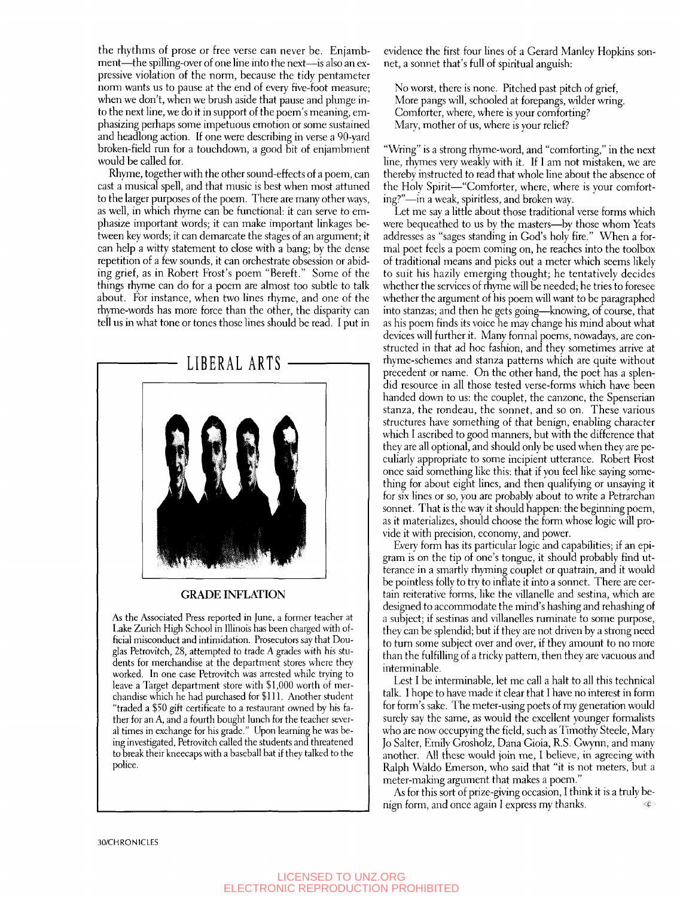the rhythms of prose or free verse can never be. Enjambment—the spilling-over of one line into the next—is also an expressive violation of the norm, because the tidy pentameter norm wants us to pause at the end of every five-foot measure; when we don't, when we brush aside that pause and plunge into the next line, we do it in support of the poem's meaning, emphasizing perhaps some impetuous emotion or some sustained and headlong action. If one were describing in verse a 90-yard broken-field run for a touchdown, a good bit of enjambment would be called for.

Rhyme, together with the other sound-effects of a poem, can cast a musical spell, and that music is best when most attuned to the larger purposes of the poem. There are many other ways, as well, in which rhyme can be functional: it can serve to emphasize important words; it can make important linkages between key words; it can demarcate the stages of an argument; it can help a witty statement to close with a bang; by the dense repetition of a few sounds, it can orchestrate obsession or abiding grief, as in Robert Frost's poem "Bereft." Some of the things rhyme can do for a poem are almost too subtle to talk about. For instance, when two lines rhyme, and one of the rhyme-words has more force than the other, the disparity can tell us in what tone or tones those lines should be read. **I** put in



## **GRADE INFLATION**

As the Associated Press reported in June, a former teacher at Lake Zurich High School in Illinois has been charged with official misconduct and intimidation. Prosecutors say that Douglas Petrovitch, 28, attempted to trade A grades with his students for merchandise at the department stores where they worked. In one case Petrovitch was arrested while trying to leave a Target department store with \$1,000 worth of merchandise which he had purchased for \$111. Another student "traded a \$50 gift certificate to a restaurant owned by his father for an A, and a fourth bought lunch for the teacher several times in exchange for his grade." Upon learning he was being investigated, Petrovitch called the students and threatened to break their kneecaps with a baseball bat if they talked to the police.

evidence the first four lines of a Gerard Manley Hopkins sonnet, a sonnet that's full of spiritual anguish:

No worst, there is none. Pitched past pitch of grief, More pangs will, schooled at forepangs, wilder wring. Gomforter, where, where is your comforting? Mary, mother of us, where is your relief?

"Wring" is a strong rhyme-word, and "comforting," in the next line, rhymes very weakly with it. If I am not mistaken, we are thereby instructed to read that whole line about the absence of the Holy Spirit—"Gomforter, where, where is your comforting?"—in a weak, spiritless, and broken way.

Let me say a little about those traditional verse forms which were bequeathed to us by the masters—by those whom Yeats addresses as "sages standing in God's holy fire." When a formal poet feels a poem coming on, he reaches into the toolbox of traditional means and picks out a meter which seems likely to suit his hazily emerging thought; he tentatively decides whether the services of rhyme will be needed; he tries to foresee whether the argument of his poem will want to be paragraphed into stanzas; and then he gets going—knowing, of course, that as his poem finds its voice he may change his mind about what devices will further it. Many formal poems, nowadays, are constructed in that ad hoc fashion, and they sometimes arrive at rhyme-schemes and stanza patterns which are quite without precedent or name. On the other hand, the poet has a splendid resource in all those tested verse-forms which have been handed down to us; the couplet, the canzone, the Spenserian stanza, the rondeau, the sonnet, and so on. These various structures have something of that benign, enabling character which I ascribed to good manners, but with the difference that they are all optional, and should only be used when they are peculiarly appropriate to some incipient utterance. Robert Frost once said something like this: that if you feel like saying something for about eight lines, and then qualifying or unsaying it for six lines or so, you are probably about to write a Petrarchan sonnet. That is the way it should happen: the beginning poem, as it materializes, should choose the form whose logic will provide it with precision, economy, and power.

Every form has its particular logic and capabilities; if an epigram is on the tip of one's tongue, it should probably find utterance in a smartly rhyming couplet or quatrain, and it would be pointless folly to try to inflate it into a sonnet. There are certain reiterative forms, like the villanelle and sestina, which are designed to accommodate the mind's hashing and rehashing of a subject; if sestinas and villanelles ruminate to some purpose, they can be splendid; but if they are not driven by a strong need to turn some subject over and over, if they amount to no more than the fulfilling of a tricky pattern, then they are vacuous and interminable.

Lest I be interminable, let me call a halt to all this technical talk. I hope to have made it clear that I have no interest in form for form's sake. The meter-using poets of my generation would surely say the same, as would the excellent younger formalists who are now occupying the field, such as Timothy Steele, Mary Jo Salter, Emily Grosholz, Dana Gioia, R.S. Gwynn, and many another. All these would join me, I believe, in agreeing with Ralph Waldo Emerson, who said that "it is not meters, but a meter-making argument that makes a poem."

As for this sort of prize-giving occasion, I think it is a truly benign form, and once again I express my thanks,  $\qquad \qquad \lll$